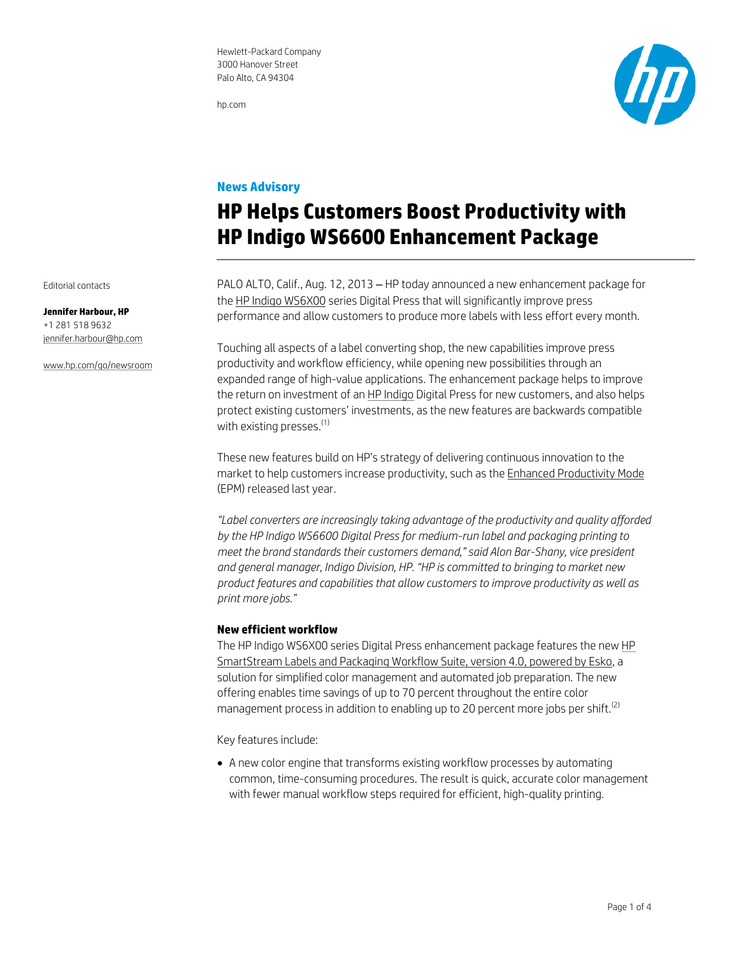hp.com



## **News Advisory**

# **HP Helps Customers Boost Productivity with HP Indigo WS6600 Enhancement Package**

PALO ALTO, Calif., Aug. 12, 2013 – HP today announced a new enhancement package for the HP Indigo WS6X00 series Digital Press that will significantly improve press performance and allow customers to produce more labels with less effort every month.

Touching all aspects of a label converting shop, the new capabilities improve press productivity and workflow efficiency, while opening new possibilities through an expanded range of high-value applications. The enhancement package helps to improve the return on investment of an HP Indigo Digital Press for new customers, and also helps protect existing customers' investments, as the new features are backwards compatible with existing presses. $<sup>(1)</sup>$ </sup>

These new features build on HP's strategy of delivering continuous innovation to the market to help customers increase productivity, such as the Enhanced Productivity Mode (EPM) released last year.

*"Label converters are increasingly taking advantage of the productivity and quality afforded by the HP Indigo WS6600 Digital Press for medium-run label and packaging printing to meet the brand standards their customers demand," said Alon Bar-Shany, vice president and general manager, Indigo Division, HP. "HP is committed to bringing to market new product features and capabilities that allow customers to improve productivity as well as print more jobs."* 

## **New efficient workflow**

The HP Indigo WS6X00 series Digital Press enhancement package features the new HP SmartStream Labels and Packaging Workflow Suite, version 4.0, powered by Esko, a solution for simplified color management and automated job preparation. The new offering enables time savings of up to 70 percent throughout the entire color management process in addition to enabling up to 20 percent more jobs per shift.<sup>(2)</sup>

Key features include:

 A new color engine that transforms existing workflow processes by automating common, time-consuming procedures. The result is quick, accurate color management with fewer manual workflow steps required for efficient, high-quality printing.

Editorial contacts

#### **Jennifer Harbour, HP**  +1 281 518 9632 jennifer.harbour@hp.com

www.hp.com/go/newsroom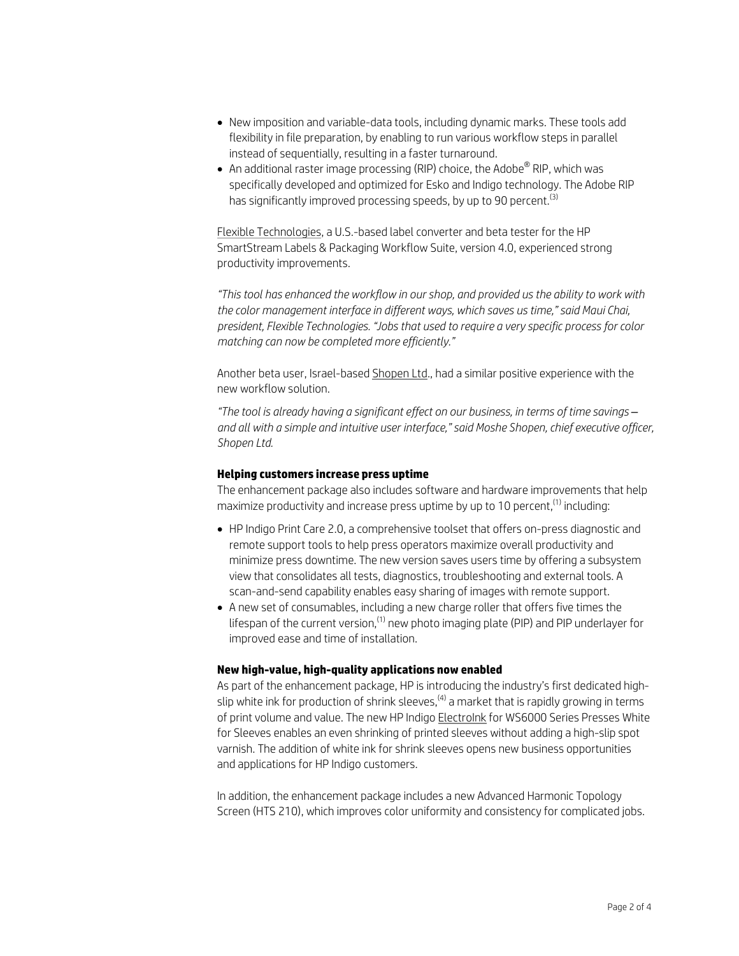- New imposition and variable-data tools, including dynamic marks. These tools add flexibility in file preparation, by enabling to run various workflow steps in parallel instead of sequentially, resulting in a faster turnaround.
- $\bullet~$  An additional raster image processing (RIP) choice, the Adobe $^\circledR$  RIP, which was specifically developed and optimized for Esko and Indigo technology. The Adobe RIP has significantly improved processing speeds, by up to 90 percent.<sup>(3)</sup>

Flexible Technologies, a U.S.-based label converter and beta tester for the HP SmartStream Labels & Packaging Workflow Suite, version 4.0, experienced strong productivity improvements.

*"This tool has enhanced the workflow in our shop, and provided us the ability to work with the color management interface in different ways, which saves us time," said Maui Chai, president, Flexible Technologies. "Jobs that used to require a very specific process for color matching can now be completed more efficiently."* 

Another beta user, Israel-based Shopen Ltd., had a similar positive experience with the new workflow solution.

*"The tool is already having a significant effect on our business, in terms of time savings – and all with a simple and intuitive user interface," said Moshe Shopen, chief executive officer, Shopen Ltd.*

## **Helping customers increase press uptime**

The enhancement package also includes software and hardware improvements that help maximize productivity and increase press uptime by up to 10 percent,  $(1)$  including:

- HP Indigo Print Care 2.0, a comprehensive toolset that offers on-press diagnostic and remote support tools to help press operators maximize overall productivity and minimize press downtime. The new version saves users time by offering a subsystem view that consolidates all tests, diagnostics, troubleshooting and external tools. A scan-and-send capability enables easy sharing of images with remote support.
- A new set of consumables, including a new charge roller that offers five times the lifespan of the current version, $^{(1)}$  new photo imaging plate (PIP) and PIP underlayer for improved ease and time of installation.

### **New high-value, high-quality applications now enabled**

As part of the enhancement package, HP is introducing the industry's first dedicated highslip white ink for production of shrink sleeves, $(4)$  a market that is rapidly growing in terms of print volume and value. The new HP Indigo ElectroInk for WS6000 Series Presses White for Sleeves enables an even shrinking of printed sleeves without adding a high-slip spot varnish. The addition of white ink for shrink sleeves opens new business opportunities and applications for HP Indigo customers.

In addition, the enhancement package includes a new Advanced Harmonic Topology Screen (HTS 210), which improves color uniformity and consistency for complicated jobs.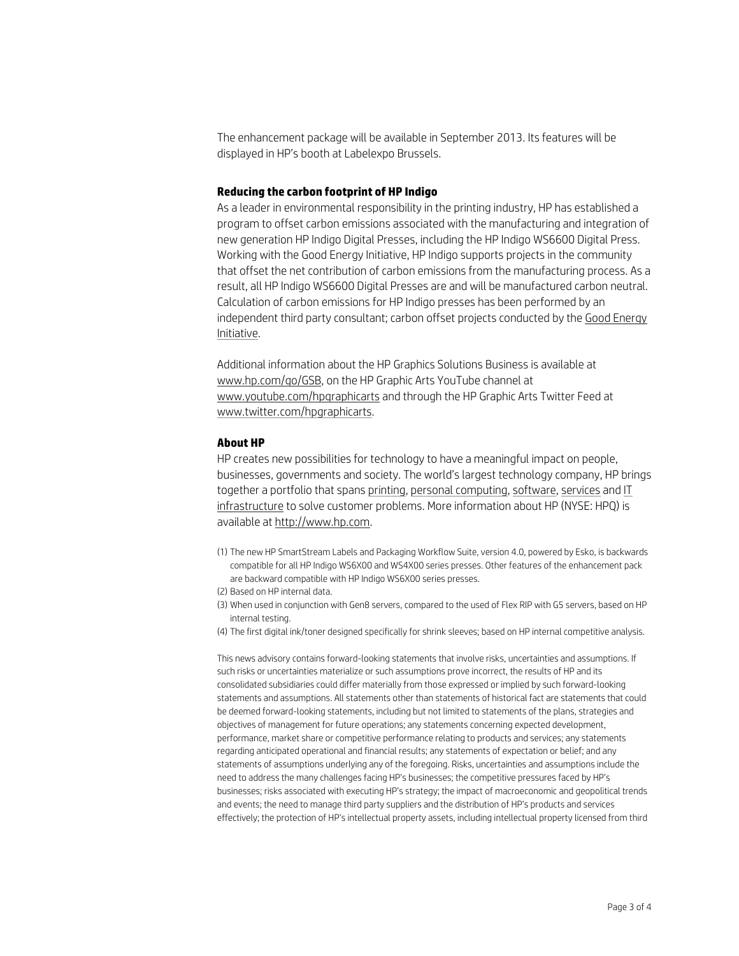The enhancement package will be available in September 2013. Its features will be displayed in HP's booth at Labelexpo Brussels.

#### **Reducing the carbon footprint of HP Indigo**

As a leader in environmental responsibility in the printing industry, HP has established a program to offset carbon emissions associated with the manufacturing and integration of new generation HP Indigo Digital Presses, including the HP Indigo WS6600 Digital Press. Working with the Good Energy Initiative, HP Indigo supports projects in the community that offset the net contribution of carbon emissions from the manufacturing process. As a result, all HP Indigo WS6600 Digital Presses are and will be manufactured carbon neutral. Calculation of carbon emissions for HP Indigo presses has been performed by an independent third party consultant; carbon offset projects conducted by the Good Energy Initiative.

Additional information about the HP Graphics Solutions Business is available at www.hp.com/go/GSB, on the HP Graphic Arts YouTube channel at www.youtube.com/hpgraphicarts and through the HP Graphic Arts Twitter Feed at www.twitter.com/hpgraphicarts.

#### **About HP**

HP creates new possibilities for technology to have a meaningful impact on people, businesses, governments and society. The world's largest technology company, HP brings together a portfolio that spans printing, personal computing, software, services and IT infrastructure to solve customer problems. More information about HP (NYSE: HPQ) is available at http://www.hp.com.

- (1) The new HP SmartStream Labels and Packaging Workflow Suite, version 4.0, powered by Esko, is backwards compatible for all HP Indigo WS6X00 and WS4X00 series presses. Other features of the enhancement pack are backward compatible with HP Indigo WS6X00 series presses.
- (2) Based on HP internal data.
- (3) When used in conjunction with Gen8 servers, compared to the used of Flex RIP with G5 servers, based on HP internal testing.
- (4) The first digital ink/toner designed specifically for shrink sleeves; based on HP internal competitive analysis.

This news advisory contains forward-looking statements that involve risks, uncertainties and assumptions. If such risks or uncertainties materialize or such assumptions prove incorrect, the results of HP and its consolidated subsidiaries could differ materially from those expressed or implied by such forward-looking statements and assumptions. All statements other than statements of historical fact are statements that could be deemed forward-looking statements, including but not limited to statements of the plans, strategies and objectives of management for future operations; any statements concerning expected development, performance, market share or competitive performance relating to products and services; any statements regarding anticipated operational and financial results; any statements of expectation or belief; and any statements of assumptions underlying any of the foregoing. Risks, uncertainties and assumptions include the need to address the many challenges facing HP's businesses; the competitive pressures faced by HP's businesses; risks associated with executing HP's strategy; the impact of macroeconomic and geopolitical trends and events; the need to manage third party suppliers and the distribution of HP's products and services effectively; the protection of HP's intellectual property assets, including intellectual property licensed from third